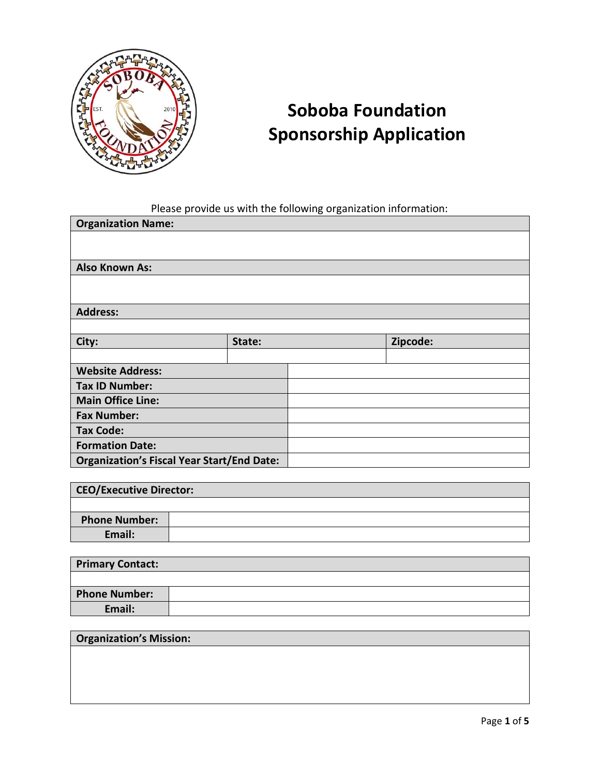

## **Soboba Foundation Sponsorship Application**

Please provide us with the following organization information:

| <b>Organization Name:</b>                         |        |  |          |
|---------------------------------------------------|--------|--|----------|
|                                                   |        |  |          |
|                                                   |        |  |          |
| <b>Also Known As:</b>                             |        |  |          |
|                                                   |        |  |          |
|                                                   |        |  |          |
| <b>Address:</b>                                   |        |  |          |
|                                                   |        |  |          |
| City:                                             | State: |  | Zipcode: |
|                                                   |        |  |          |
| <b>Website Address:</b>                           |        |  |          |
| <b>Tax ID Number:</b>                             |        |  |          |
| <b>Main Office Line:</b>                          |        |  |          |
| <b>Fax Number:</b>                                |        |  |          |
| <b>Tax Code:</b>                                  |        |  |          |
| <b>Formation Date:</b>                            |        |  |          |
| <b>Organization's Fiscal Year Start/End Date:</b> |        |  |          |

| <b>CEO/Executive Director:</b> |  |
|--------------------------------|--|
|                                |  |
| <b>Phone Number:</b>           |  |
| Email:                         |  |

| <b>Primary Contact:</b> |  |
|-------------------------|--|
|                         |  |
| <b>Phone Number:</b>    |  |
| Email:                  |  |

## **Organization's Mission:**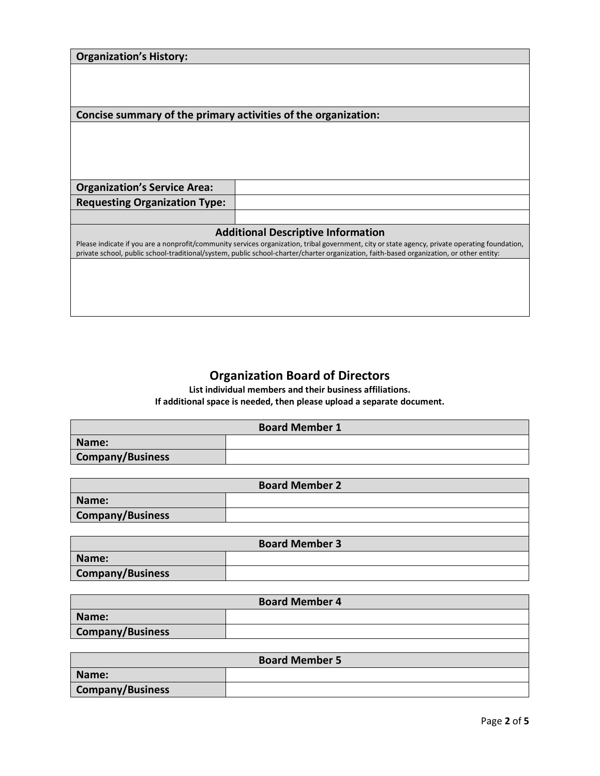| <b>Organization's History:</b>                                                                                                                                                                                                                                                             |                                           |
|--------------------------------------------------------------------------------------------------------------------------------------------------------------------------------------------------------------------------------------------------------------------------------------------|-------------------------------------------|
|                                                                                                                                                                                                                                                                                            |                                           |
|                                                                                                                                                                                                                                                                                            |                                           |
|                                                                                                                                                                                                                                                                                            |                                           |
| Concise summary of the primary activities of the organization:                                                                                                                                                                                                                             |                                           |
|                                                                                                                                                                                                                                                                                            |                                           |
|                                                                                                                                                                                                                                                                                            |                                           |
|                                                                                                                                                                                                                                                                                            |                                           |
|                                                                                                                                                                                                                                                                                            |                                           |
| <b>Organization's Service Area:</b>                                                                                                                                                                                                                                                        |                                           |
| <b>Requesting Organization Type:</b>                                                                                                                                                                                                                                                       |                                           |
|                                                                                                                                                                                                                                                                                            |                                           |
|                                                                                                                                                                                                                                                                                            | <b>Additional Descriptive Information</b> |
| Please indicate if you are a nonprofit/community services organization, tribal government, city or state agency, private operating foundation,<br>private school, public school-traditional/system, public school-charter/charter organization, faith-based organization, or other entity: |                                           |
|                                                                                                                                                                                                                                                                                            |                                           |
|                                                                                                                                                                                                                                                                                            |                                           |
|                                                                                                                                                                                                                                                                                            |                                           |
|                                                                                                                                                                                                                                                                                            |                                           |

## **Organization Board of Directors**

**List individual members and their business affiliations. If additional space is needed, then please upload a separate document.**

| <b>Board Member 1</b> |  |
|-----------------------|--|
| Name:                 |  |
| Company/Business      |  |

| <b>Board Member 2</b>   |  |
|-------------------------|--|
| Name:                   |  |
| <b>Company/Business</b> |  |
|                         |  |

| <b>Board Member 3</b>   |  |
|-------------------------|--|
| Name:                   |  |
| <b>Company/Business</b> |  |

| <b>Board Member 4</b>   |  |  |
|-------------------------|--|--|
| Name:                   |  |  |
| <b>Company/Business</b> |  |  |
|                         |  |  |

| <b>Board Member 5</b>   |  |
|-------------------------|--|
| Name:                   |  |
| <b>Company/Business</b> |  |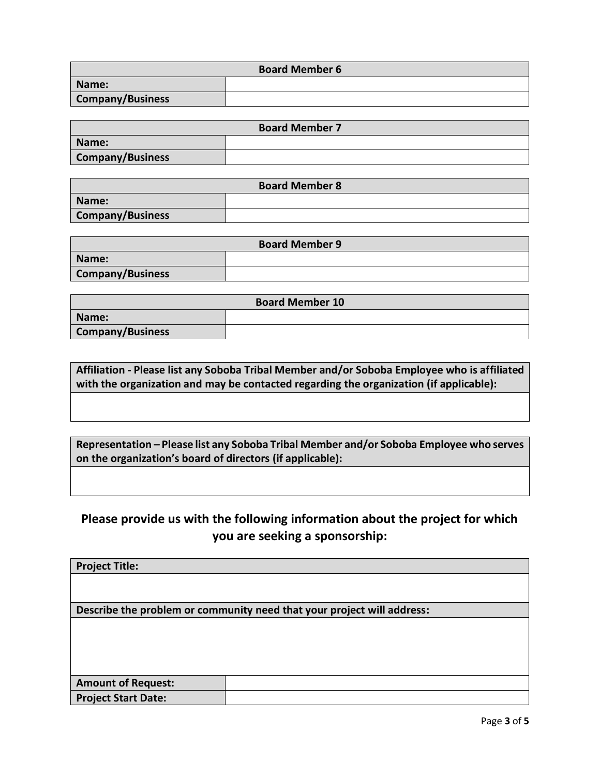| <b>Board Member 6</b>   |  |
|-------------------------|--|
| Name:                   |  |
| <b>Company/Business</b> |  |

| <b>Board Member 7</b>   |  |
|-------------------------|--|
| Name:                   |  |
| <b>Company/Business</b> |  |

| <b>Board Member 8</b>   |  |
|-------------------------|--|
| Name:                   |  |
| <b>Company/Business</b> |  |

| <b>Board Member 9</b>   |  |
|-------------------------|--|
| Name:                   |  |
| <b>Company/Business</b> |  |

| <b>Board Member 10</b>  |  |  |
|-------------------------|--|--|
| Name:                   |  |  |
| <b>Company/Business</b> |  |  |

**Affiliation - Please list any Soboba Tribal Member and/or Soboba Employee who is affiliated with the organization and may be contacted regarding the organization (if applicable):**

**Representation – Please list any Soboba Tribal Member and/or Soboba Employee who serves on the organization's board of directors (if applicable):**

## **Please provide us with the following information about the project for which you are seeking a sponsorship:**

| <b>Project Title:</b>                                                  |  |
|------------------------------------------------------------------------|--|
|                                                                        |  |
|                                                                        |  |
| Describe the problem or community need that your project will address: |  |
|                                                                        |  |
|                                                                        |  |
|                                                                        |  |
|                                                                        |  |
| <b>Amount of Request:</b>                                              |  |
| <b>Project Start Date:</b>                                             |  |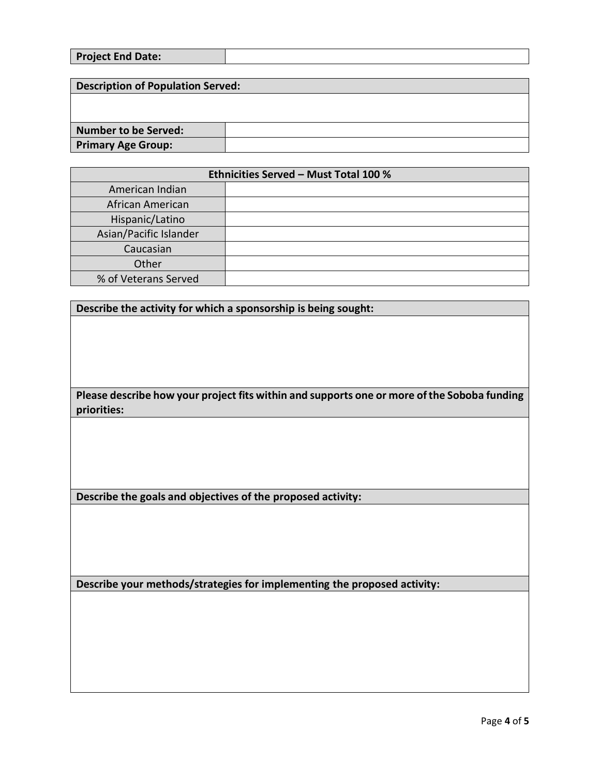| <b>Project End Date:</b> |  |
|--------------------------|--|
|                          |  |

| <b>Description of Population Served:</b> |  |  |
|------------------------------------------|--|--|
|                                          |  |  |
|                                          |  |  |
| Number to be Served:                     |  |  |
| <b>Primary Age Group:</b>                |  |  |

| <b>Ethnicities Served - Must Total 100 %</b> |  |
|----------------------------------------------|--|
| American Indian                              |  |
| African American                             |  |
| Hispanic/Latino                              |  |
| Asian/Pacific Islander                       |  |
| Caucasian                                    |  |
| Other                                        |  |
| % of Veterans Served                         |  |

**Describe the activity for which a sponsorship is being sought:**

**Please describe how your project fits within and supports one or more of the Soboba funding priorities:**

**Describe the goals and objectives of the proposed activity:**

**Describe your methods/strategies for implementing the proposed activity:**